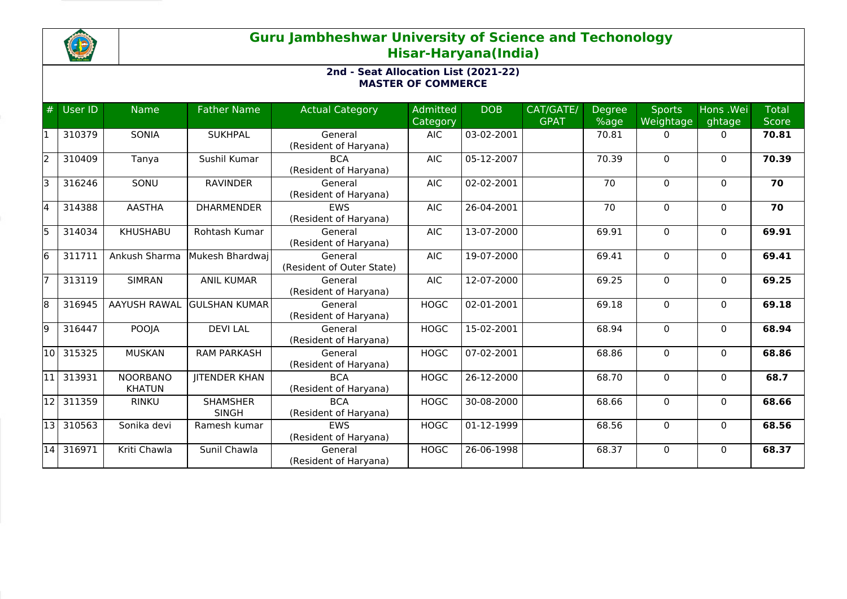

# **Guru Jambheshwar University of Science and Techonology Hisar-Haryana(India)**

## **2nd - Seat Allocation List (2021-22) MASTER OF COMMERCE**

| #  | User ID | <b>Name</b>                      | <b>Father Name</b>              | <b>Actual Category</b>               | <b>Admitted</b><br>Category | <b>DOB</b> | CAT/GATE/<br><b>GPAT</b> | Degree<br>%age | <b>Sports</b><br>Weightage | Hons .Wei<br>ghtage | <b>Total</b><br><b>Score</b> |
|----|---------|----------------------------------|---------------------------------|--------------------------------------|-----------------------------|------------|--------------------------|----------------|----------------------------|---------------------|------------------------------|
|    | 310379  | SONIA                            | <b>SUKHPAL</b>                  | General<br>(Resident of Haryana)     | <b>AIC</b>                  | 03-02-2001 |                          | 70.81          | 0                          | $\mathbf{0}$        | 70.81                        |
| l2 | 310409  | Tanya                            | Sushil Kumar                    | <b>BCA</b><br>(Resident of Haryana)  | <b>AIC</b>                  | 05-12-2007 |                          | 70.39          | $\Omega$                   | $\mathbf{0}$        | 70.39                        |
| lЗ | 316246  | SONU                             | <b>RAVINDER</b>                 | General<br>(Resident of Haryana)     | <b>AIC</b>                  | 02-02-2001 |                          | 70             | $\Omega$                   | $\mathbf{0}$        | 70                           |
| l4 | 314388  | <b>AASTHA</b>                    | <b>DHARMENDER</b>               | <b>EWS</b><br>(Resident of Haryana)  | <b>AIC</b>                  | 26-04-2001 |                          | 70             | 0                          | $\mathbf{0}$        | 70                           |
| I5 | 314034  | <b>KHUSHABU</b>                  | Rohtash Kumar                   | General<br>(Resident of Haryana)     | <b>AIC</b>                  | 13-07-2000 |                          | 69.91          | $\Omega$                   | $\mathbf{0}$        | 69.91                        |
| l6 | 311711  | Ankush Sharma                    | Mukesh Bhardwaj                 | General<br>(Resident of Outer State) | <b>AIC</b>                  | 19-07-2000 |                          | 69.41          | 0                          | $\mathbf{0}$        | 69.41                        |
|    | 313119  | <b>SIMRAN</b>                    | <b>ANIL KUMAR</b>               | General<br>(Resident of Haryana)     | <b>AIC</b>                  | 12-07-2000 |                          | 69.25          | $\Omega$                   | $\mathbf{0}$        | 69.25                        |
| l8 | 316945  | <b>AAYUSH RAWAL</b>              | <b>GULSHAN KUMAR</b>            | General<br>(Resident of Haryana)     | <b>HOGC</b>                 | 02-01-2001 |                          | 69.18          | $\Omega$                   | $\mathbf{0}$        | 69.18                        |
| l9 | 316447  | POOJA                            | <b>DEVILAL</b>                  | General<br>(Resident of Haryana)     | <b>HOGC</b>                 | 15-02-2001 |                          | 68.94          | $\Omega$                   | $\mathbf{0}$        | 68.94                        |
| 10 | 315325  | <b>MUSKAN</b>                    | <b>RAM PARKASH</b>              | General<br>(Resident of Haryana)     | <b>HOGC</b>                 | 07-02-2001 |                          | 68.86          | $\Omega$                   | $\mathbf{0}$        | 68.86                        |
| 11 | 313931  | <b>NOORBANO</b><br><b>KHATUN</b> | <b>JITENDER KHAN</b>            | <b>BCA</b><br>(Resident of Haryana)  | <b>HOGC</b>                 | 26-12-2000 |                          | 68.70          | $\Omega$                   | $\mathbf{0}$        | 68.7                         |
| 12 | 311359  | <b>RINKU</b>                     | <b>SHAMSHER</b><br><b>SINGH</b> | <b>BCA</b><br>(Resident of Haryana)  | <b>HOGC</b>                 | 30-08-2000 |                          | 68.66          | $\Omega$                   | $\mathbf{0}$        | 68.66                        |
| 13 | 310563  | Sonika devi                      | Ramesh kumar                    | <b>EWS</b><br>(Resident of Haryana)  | <b>HOGC</b>                 | 01-12-1999 |                          | 68.56          | 0                          | $\mathbf{0}$        | 68.56                        |
| 14 | 316971  | Kriti Chawla                     | Sunil Chawla                    | General<br>(Resident of Haryana)     | <b>HOGC</b>                 | 26-06-1998 |                          | 68.37          | $\Omega$                   | $\Omega$            | 68.37                        |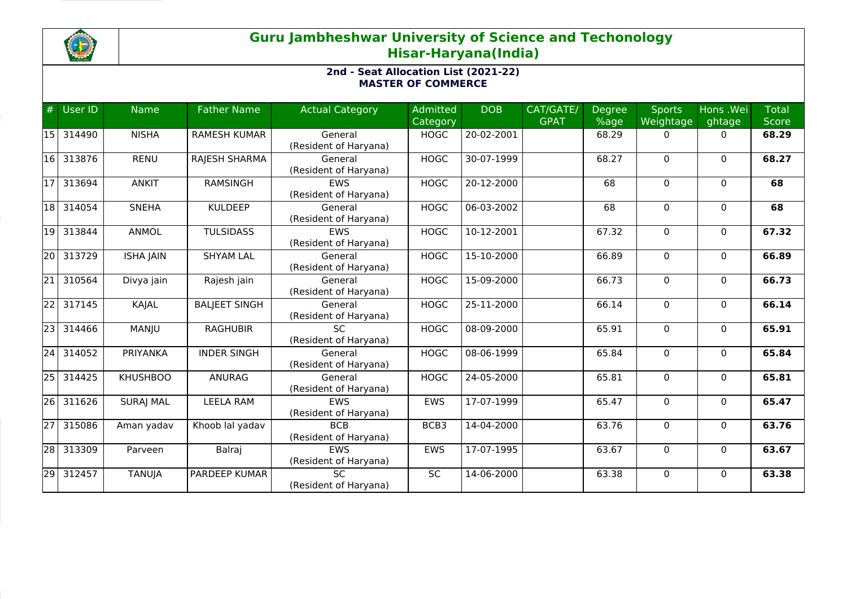

# **Guru Jambheshwar University of Science and Techonology Hisar-Haryana(India)**

## **2nd - Seat Allocation List (2021-22) MASTER OF COMMERCE**

| #               | User ID | <b>Name</b>      | <b>Father Name</b>   | <b>Actual Category</b>              | Admitted<br>Category | <b>DOB</b> | CAT/GATE/<br><b>GPAT</b> | <b>Degree</b><br>%age | <b>Sports</b><br>Weightage | Hons .Wei<br>ghtage | <b>Total</b><br><b>Score</b> |
|-----------------|---------|------------------|----------------------|-------------------------------------|----------------------|------------|--------------------------|-----------------------|----------------------------|---------------------|------------------------------|
| 15              | 314490  | <b>NISHA</b>     | <b>RAMESH KUMAR</b>  | General<br>(Resident of Haryana)    | <b>HOGC</b>          | 20-02-2001 |                          | 68.29                 | $\mathbf{0}$               | $\mathbf{0}$        | 68.29                        |
| 16              | 313876  | <b>RENU</b>      | RAJESH SHARMA        | General<br>(Resident of Haryana)    | <b>HOGC</b>          | 30-07-1999 |                          | 68.27                 | $\Omega$                   | $\mathbf{0}$        | 68.27                        |
| l1 7            | 313694  | <b>ANKIT</b>     | <b>RAMSINGH</b>      | <b>EWS</b><br>(Resident of Haryana) | <b>HOGC</b>          | 20-12-2000 |                          | 68                    | $\mathbf 0$                | $\Omega$            | 68                           |
| 18              | 314054  | <b>SNEHA</b>     | <b>KULDEEP</b>       | General<br>(Resident of Haryana)    | <b>HOGC</b>          | 06-03-2002 |                          | 68                    | $\mathbf 0$                | $\mathbf{0}$        | 68                           |
| 19              | 313844  | ANMOL            | <b>TULSIDASS</b>     | EWS<br>(Resident of Haryana)        | <b>HOGC</b>          | 10-12-2001 |                          | 67.32                 | 0                          | $\mathbf{0}$        | 67.32                        |
| 20              | 313729  | <b>ISHA JAIN</b> | <b>SHYAM LAL</b>     | General<br>(Resident of Haryana)    | <b>HOGC</b>          | 15-10-2000 |                          | 66.89                 | $\mathbf{0}$               | $\mathbf{0}$        | 66.89                        |
| 21              | 310564  | Divya jain       | Rajesh jain          | General<br>(Resident of Haryana)    | <b>HOGC</b>          | 15-09-2000 |                          | 66.73                 | $\mathbf 0$                | $\mathbf{0}$        | 66.73                        |
| 22              | 317145  | KAJAL            | <b>BALJEET SINGH</b> | General<br>(Resident of Haryana)    | <b>HOGC</b>          | 25-11-2000 |                          | 66.14                 | $\Omega$                   | $\mathbf{0}$        | 66.14                        |
| 23              | 314466  | MANJU            | <b>RAGHUBIR</b>      | <b>SC</b><br>(Resident of Haryana)  | <b>HOGC</b>          | 08-09-2000 |                          | 65.91                 | $\mathbf 0$                | $\mathbf{0}$        | 65.91                        |
| 24              | 314052  | PRIYANKA         | <b>INDER SINGH</b>   | General<br>(Resident of Haryana)    | <b>HOGC</b>          | 08-06-1999 |                          | 65.84                 | $\mathbf{0}$               | $\mathbf{0}$        | 65.84                        |
| $\overline{25}$ | 314425  | <b>KHUSHBOO</b>  | ANURAG               | General<br>(Resident of Haryana)    | <b>HOGC</b>          | 24-05-2000 |                          | 65.81                 | $\mathbf 0$                | $\Omega$            | 65.81                        |
| 26              | 311626  | <b>SURAJ MAL</b> | <b>LEELA RAM</b>     | EWS<br>(Resident of Haryana)        | <b>EWS</b>           | 17-07-1999 |                          | 65.47                 | 0                          | $\mathbf{0}$        | 65.47                        |
| 27              | 315086  | Aman yadav       | Khoob lal yadav      | <b>BCB</b><br>(Resident of Haryana) | BCB3                 | 14-04-2000 |                          | 63.76                 | $\mathbf 0$                | $\mathbf{0}$        | 63.76                        |
| 28              | 313309  | Parveen          | Balraj               | EWS<br>(Resident of Haryana)        | <b>EWS</b>           | 17-07-1995 |                          | 63.67                 | 0                          | $\mathbf{0}$        | 63.67                        |
| $\overline{29}$ | 312457  | <b>TANUJA</b>    | <b>PARDEEP KUMAR</b> | <b>SC</b><br>(Resident of Haryana)  | SC                   | 14-06-2000 |                          | 63.38                 | $\mathbf 0$                | $\mathbf{0}$        | 63.38                        |